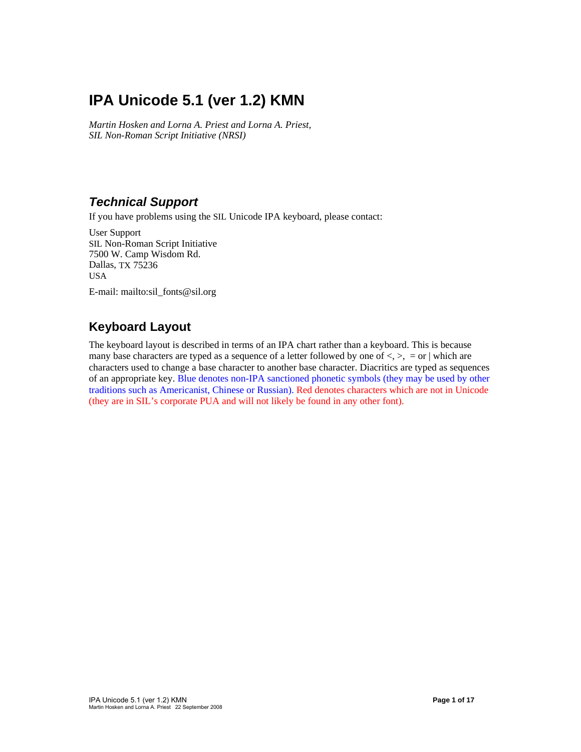# **IPA Unicode 5.1 (ver 1.2) KMN**

*Martin Hosken and Lorna A. Priest and Lorna A. Priest, SIL Non-Roman Script Initiative (NRSI)* 

#### *Technical Support*

If you have problems using the SIL Unicode IPA keyboard, please contact:

User Support SIL Non-Roman Script Initiative 7500 W. Camp Wisdom Rd. Dallas, TX 75236 USA

E-mail: mailto:sil\_fonts@sil.org

## **Keyboard Layout**

The keyboard layout is described in terms of an IPA chart rather than a keyboard. This is because many base characters are typed as a sequence of a letter followed by one of  $\langle \rangle$ ,  $\langle \rangle$ ,  $=$  or  $\vert$  which are characters used to change a base character to another base character. Diacritics are typed as sequences of an appropriate key. Blue denotes non-IPA sanctioned phonetic symbols (they may be used by other traditions such as Americanist, Chinese or Russian). Red denotes characters which are not in Unicode (they are in SIL's corporate PUA and will not likely be found in any other font).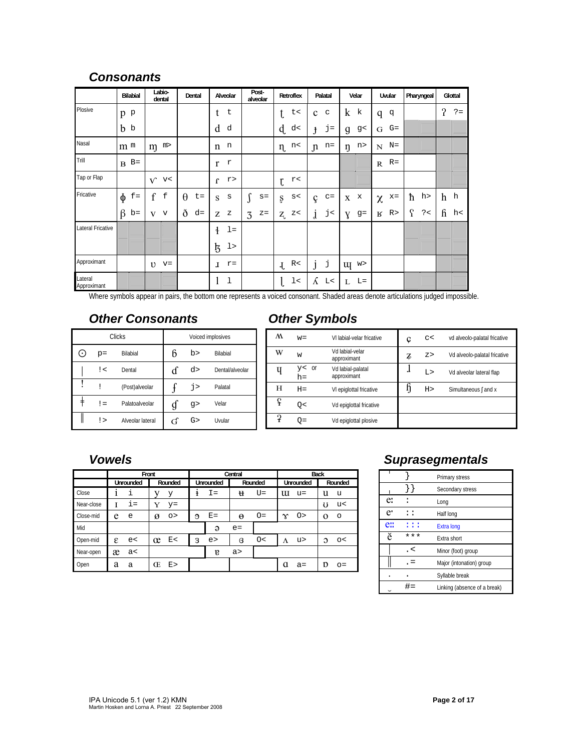#### *Consonants*

|                        | <b>Bilabial</b> | Labio-<br>dental | Dental            | Alveolar              | Post-<br>alveolar | Retroflex                       | Palatal               | Velar                 | Uvular                | Pharyngeal      | Glottal               |
|------------------------|-----------------|------------------|-------------------|-----------------------|-------------------|---------------------------------|-----------------------|-----------------------|-----------------------|-----------------|-----------------------|
| Plosive                | p p             |                  |                   | t<br>t                |                   | t<                              | C<br>$\mathbf{c}$     | $\bf k$<br>k          | đ<br>q                |                 | $\mathbf{?}$<br>$? =$ |
|                        | b <sub>b</sub>  |                  |                   | d<br>d                |                   | $\mathbf{d}$<br>d<              | $j =$<br>$\mathbf{f}$ | g<<br>$\mathfrak{g}$  | $G=$<br>G             |                 |                       |
| Nasal                  | m <sub>m</sub>  | m><br>m          |                   | n<br>$\mathbf n$      |                   | $\eta$ n<                       | $n=$<br>$\mathfrak n$ | n><br>ŋ               | $N=$<br>$N_{\odot}$   |                 |                       |
| Trill                  | $B$ B=          |                  |                   | r<br>r                |                   |                                 |                       |                       | $R =$<br>$\mathbb{R}$ |                 |                       |
| Tap or Flap            |                 | $V$ v<           |                   | r<br>$\mathbf{r}$     |                   | r<<br>t                         |                       |                       |                       |                 |                       |
| Fricative              | $\phi$<br>$f =$ | $\mathbf f$<br>f | $\theta$<br>$t =$ | S<br>S                | $s =$             | $\mathtt{s}<$<br>ş              | $C =$<br>ç            | $\mathbf x$<br>X      | $x =$<br>$\chi$       | ħ<br>h>         | h<br>h                |
|                        | $\beta$<br>$b=$ | V<br>$\mathbf v$ | ð<br>$d =$        | Z<br>$\rm{z}$         | $\rm{z}$ =<br>3   | $\rm{z}$ $<$<br>$Z_{L}$         | j<<br>$\mathbf{j}$    | $g=$<br>Y             | R><br>R               | $\Omega$<br>? < | ĥ<br>h<               |
| Lateral Fricative      |                 |                  |                   | $\ddagger$<br>$l =$   |                   |                                 |                       |                       |                       |                 |                       |
|                        |                 |                  |                   | $\frac{1}{5}$<br>1    |                   |                                 |                       |                       |                       |                 |                       |
| Approximant            |                 | $v = v$          |                   | $r =$<br>$\mathbf{I}$ |                   | R<<br>$\mathbf{J}_{\mathbf{r}}$ | j<br>1                | W><br>$\mathbf{u}$    |                       |                 |                       |
| Lateral<br>Approximant |                 |                  |                   | 1<br>1                |                   | $1\,<$                          | K<br>L<               | $L =$<br>$\mathbf{L}$ |                       |                 |                       |

Where symbols appear in pairs, the bottom one represents a voiced consonant. Shaded areas denote articulations judged impossible.

#### *Other Consonants*

|           |       | <b>Clicks</b>    | Voiced implosives |    |                 |  |
|-----------|-------|------------------|-------------------|----|-----------------|--|
| $(\cdot)$ | $p =$ | <b>Bilabial</b>  | 6                 | b> | <b>Bilabial</b> |  |
|           | ! <   | Dental           | ď                 | d> | Dental/alveolar |  |
|           | Ī     | (Post)alveolar   |                   | j> | Palatal         |  |
|           | $!=$  | Palatoalveolar   | g                 | q  | Velar           |  |
|           | ! >   | Alveolar lateral | G                 | G  | Uvular          |  |

## *Other Symbols*

| M            | $w =$              | VI labial-velar fricative        | Ç | C<  | vd alveolo-palatal fricative |
|--------------|--------------------|----------------------------------|---|-----|------------------------------|
| W            | W                  | Vd labial-velar<br>approximant   | Z | Z > | Vd alveolo-palatal fricative |
|              | $y < 0$ r<br>$h =$ | Vd labial-palatal<br>approximant | л | L>  | Vd alveolar lateral flap     |
| н            | $H =$              | VI epiglottal fricative          |   | H > | Simultaneous [and x          |
| ç            | O<                 | Vd epiglottal fricative          |   |     |                              |
| $\mathbf{P}$ | O=                 | Vd epiglottal plosive            |   |     |                              |

#### *Vowels*

|            |           | Front        |            | Central           | <b>Back</b>     |                          |
|------------|-----------|--------------|------------|-------------------|-----------------|--------------------------|
|            | Unrounded | Rounded      | Unrounded  | Rounded           | Unrounded       | Rounded                  |
| Close      | i         | У            | $I =$<br>ŧ | $U =$<br>u        | u<br>u=         | u<br>u                   |
| Near-close | $i =$     | $y=$         |            |                   |                 | U<br>u<                  |
| Close-mid  | e<br>e    | ø<br>$\circ$ | $E =$<br>Э | $O=$<br>$\Theta$  | O ><br>$\infty$ | O<br>$\Omega$            |
| Mid        |           |              | $\Theta$   | $e=$              |                 |                          |
| Open-mid   | ε<br>e<   | E<<br>œ      | 3<br>e     | O<<br>$\mathbf G$ | u><br>Λ         | $\mathcal{O}$<br>$\circ$ |
| Near-open  | æ<br>ac<  |              | E          | a >               |                 |                          |
| Open       | a<br>a    | Œ<br>E >     |            |                   | a<br>$a =$      | D<br>$O =$               |

#### *Suprasegmentals*

|     |       | Primary stress               |
|-----|-------|------------------------------|
|     |       | Secondary stress             |
| e:  |       | Long                         |
| e'  | : :   | Half long                    |
| e:: | : : : | <b>Extra long</b>            |
| ě   | ***   | <b>Fxtra short</b>           |
|     | . <   | Minor (foot) group           |
|     |       | Major (intonation) group     |
|     |       | Syllable break               |
|     |       | Linking (absence of a break) |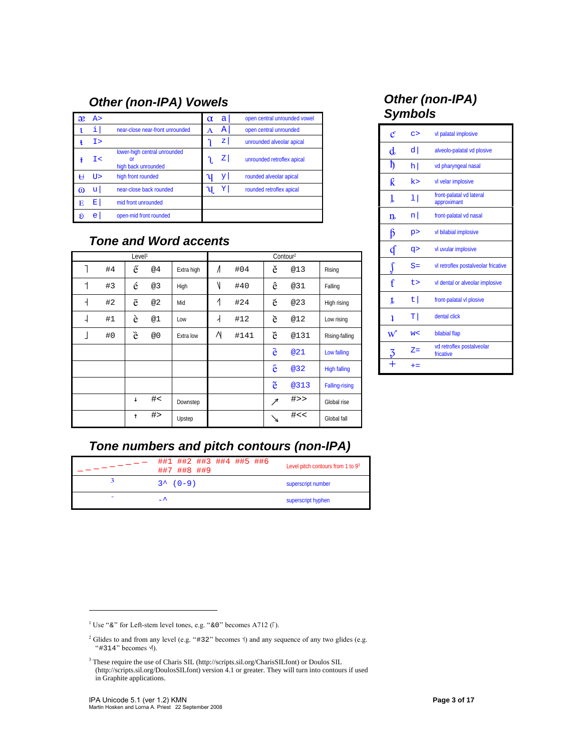## *Other (non-IPA) Vowels*

| æ | A > |                                                                 | $\alpha$ | a  | open central unrounded vowel |
|---|-----|-----------------------------------------------------------------|----------|----|------------------------------|
|   | i   | near-close near-front unrounded                                 | A        | А  | open central unrounded       |
|   | Tэ  |                                                                 |          | z  | unrounded alveolar apical    |
|   | I<  | lower-high central unrounded<br>$\alpha$<br>high back unrounded |          | z  | unrounded retroflex apical   |
|   | TT> | high front rounded                                              |          | yι | rounded alveolar apical      |
| ω | u   | near-close back rounded                                         |          | Y  | rounded retroflex apical     |
| Е | Ε   | mid front unrounded                                             |          |    |                              |
| я | e   | open-mid front rounded                                          |          |    |                              |

## *Tone and Word accents*

| Level <sup>1</sup> |    |              |    |            |           |      | Contour <sup>2</sup> |        |                       |
|--------------------|----|--------------|----|------------|-----------|------|----------------------|--------|-----------------------|
|                    | #4 | ế            | @4 | Extra high | $\Lambda$ | #04  | ě                    | @13    | Rising                |
| 1                  | #3 | é            | @3 | High       | Ν         | #40  | ê                    | @31    | Falling               |
| $\overline{1}$     | #2 | ē            | @2 | Mid        | 1         | #24  | é                    | @23    | High rising           |
| ⊣                  | #1 | è            | @1 | Low        | ⇃         | #12  | è                    | @12    | Low rising            |
|                    | #0 | è            | @0 | Extra low  | Ν         | #141 | è                    | @131   | Rising-falling        |
|                    |    |              |    |            |           |      | è                    | @21    | Low falling           |
|                    |    |              |    |            |           |      | ê                    | @32    | <b>High falling</b>   |
|                    |    |              |    |            |           |      | ě                    | @313   | <b>Falling-rising</b> |
|                    |    | $\downarrow$ | #  | Downstep   |           |      | $\nearrow$           | $#$ >> | Global rise           |
|                    |    | $\uparrow$   | #  | Upstep     |           |      | 71                   | #<<    | Global fall           |

#### *Other (non-IPA) Symbols*

| $\mathfrak{C}% _{a}^{a}(\mathbb{R}^{2n})$ | C       | vl palatal implosive                    |
|-------------------------------------------|---------|-----------------------------------------|
| $\mathbf d$                               | d       | alveolo-palatal vd plosive              |
| ħ                                         | $\ln  $ | vd pharyngeal nasal                     |
| k                                         | k>      | vl velar implosive                      |
| T                                         | 11      | front-palatal vd lateral<br>approximant |
| $n_{\rm}$                                 | n       | front-palatal vd nasal                  |
| ß                                         | p       | vl bilabial implosive                   |
| ď                                         | q>      | vl uvular implosive                     |
|                                           | $S =$   | vl retroflex postalveolar fricative     |
| f                                         | t>      | vl dental or alveolar implosive         |
| t                                         | t       | front-palatal vl plosive                |
| 1                                         | тI      | dental click                            |
| W                                         | W<      | bilabial flap                           |
|                                           | $Z =$   | vd retroflex postalveolar<br>fricative  |
|                                           | $+=$    |                                         |

## *Tone numbers and pitch contours (non-IPA)*

|   | ##1 ##2 ##3 ##4 ##5 ##6<br>##7 ##8 ##9 | Level pitch contours from 1 to 93 |
|---|----------------------------------------|-----------------------------------|
|   | $3^{\wedge} (0-9)$                     | superscript number                |
| - | $\overline{\phantom{a}}$               | superscript hyphen                |

-

<sup>&</sup>lt;sup>1</sup> Use " $\&$ " for Left-stem level tones, e.g. " $\&0$ " becomes A712 ( $\lceil$ ).

<sup>&</sup>lt;sup>2</sup> Glides to and from any level (e.g. "#32" becomes  $\dagger$ ) and any sequence of any two glides (e.g. " $#314"$  becomes  $\forall$ ).

<sup>&</sup>lt;sup>3</sup> These require the use of Charis SIL (http://scripts.sil.org/CharisSILfont) or Doulos SIL (http://scripts.sil.org/DoulosSILfont) version 4.1 or greater. They will turn into contours if used in Graphite applications.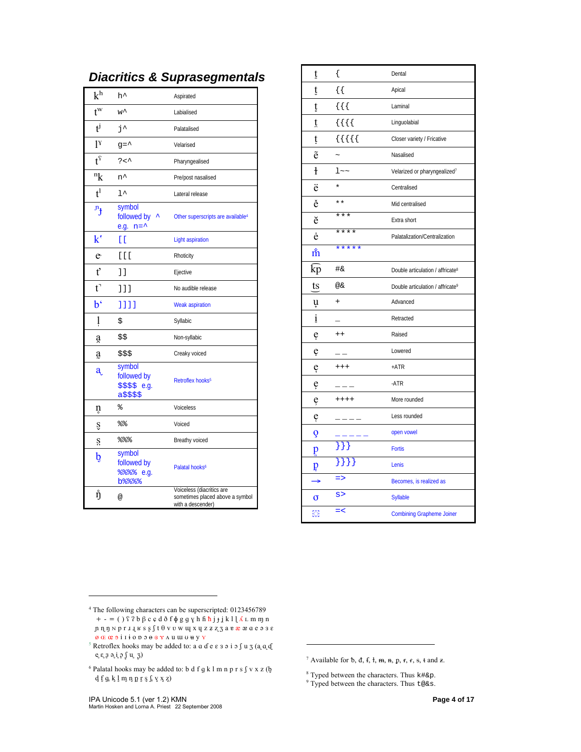| $\rm k^h$                        | h^                                                    | Aspirated                                                                         |
|----------------------------------|-------------------------------------------------------|-----------------------------------------------------------------------------------|
| $\mathfrak{t}^{\mathrm{w}}$      | w^                                                    | Labialised                                                                        |
| $\mathbf{t}^{\mathbf{j}}$        | j^                                                    | Palatalised                                                                       |
| $1^{\mathrm{v}}$                 | $g = \uparrow$                                        | Velarised                                                                         |
| $t^{\Omega}$                     | ?<^                                                   | Pharyngealised                                                                    |
| $\mathbf{R}^{\mathrm{n}}$        | n^                                                    | Pre/post nasalised                                                                |
| $t^1$                            | $1^{\wedge}$                                          | Lateral release                                                                   |
| $\mathbf{r}_{\mathbf{t}}$        | symbol<br>followed by<br>e.g. $n = \uparrow$          | Other superscripts are available <sup>4</sup>                                     |
| $k^{\epsilon}$                   | E E                                                   | <b>Light aspiration</b>                                                           |
| e                                | [1]                                                   | Rhoticity                                                                         |
| ť                                | 11                                                    | Ejective                                                                          |
| $t^{\bar{\jmath}}$               | 111                                                   | No audible release                                                                |
| $\mathbf{b}^{\mathbf{\epsilon}}$ | ננננ                                                  | <b>Weak aspiration</b>                                                            |
| ļ                                | \$                                                    | Syllabic                                                                          |
| a                                | \$\$                                                  | Non-syllabic                                                                      |
| ą                                | \$\$\$                                                | Creaky voiced                                                                     |
| a                                | symbol<br>followed by<br>$$$ \$\$\$ e.g.<br>a\$\$\$\$ | Retroflex hooks <sup>5</sup>                                                      |
| ņ                                | ిన                                                    | Voiceless                                                                         |
| Ş                                | ៖ေ                                                    | Voiced                                                                            |
| S                                | 응응응                                                   | Breathy voiced                                                                    |
| b                                | symbol<br>followed by<br>8888 e.g.<br><b>b%%%</b>     | Palatal hooks <sup>6</sup>                                                        |
| ŋ                                | @                                                     | Voiceless (diacritics are<br>sometimes placed above a symbol<br>with a descender) |

|  |  | <b>Diacritics &amp; Suprasegmentals</b> |
|--|--|-----------------------------------------|
|--|--|-----------------------------------------|

| ţ                 | $\{$           | Dental                                       |
|-------------------|----------------|----------------------------------------------|
| ţ                 | { {            | Apical                                       |
| ţ                 | $\{ \}$        | Laminal                                      |
| t                 | $\{\{\{\}\}\}$ | Linguolabial                                 |
| ţ                 | ${ }$          | Closer variety / Fricative                   |
| $\tilde{e}$       |                | Nasalised                                    |
| $\ddagger$        | $1 - -$        | Velarized or pharyngealized <sup>7</sup>     |
| ë                 | $\star$        | Centralised                                  |
| ě                 | $* *$          | Mid centralised                              |
| ĕ                 | ***            | Extra short                                  |
| ė                 | ****           | Palatalization/Centralization                |
| $\dot{\tilde{m}}$ | *****          |                                              |
| kр                | #&             | Double articulation / affricate <sup>8</sup> |
| ts                | @&             | Double articulation / affricate <sup>9</sup> |
| ų                 | $\ddot{}$      | Advanced                                     |
| $\mathbf{i}$      |                | Retracted                                    |
| ę                 | $++$           | Raised                                       |
| ę                 |                | Lowered                                      |
| ę                 | $++++$         | $+ATR$                                       |
| ę                 |                | -ATR                                         |
| ę                 | $++++$         | More rounded                                 |
| ę                 |                | Less rounded                                 |
| Q                 |                | open vowel                                   |
| p                 |                | <b>Fortis</b>                                |
| p                 | $\{\} \} \}$   | Lenis                                        |
|                   | $\Rightarrow$  | Becomes, is realized as                      |
| σ                 | s >            | <b>Syllable</b>                              |
| ×                 | $=$ $<$        | <b>Combining Grapheme Joiner</b>             |

l

<sup>8</sup> Typed between the characters. Thus  $k \# \&p$ .<br><sup>9</sup> Typed between the characters. Thus t@&s.

 $\overline{a}$ 

<sup>4</sup> The following characters can be superscripted: 0123456789 + - = ( ) ʕ ʔ b β c ɕ d ð f ɸ g ɡ ɣ h ɦ ħ j ɟ ʝ k l ɭ ʎ ʟ m ɱ n ɲ ɳ ŋ ɴ p r ɹ ɻ ʁ s ʂ ʃ t θ v ʋ w ɰ x ɥ z ʑ ʐ ʒ a ɐ æ ᴂ ɑ e ə ɜ ɛ

 $\emptyset \oplus \emptyset$   $\emptyset$   $\emptyset$   $\emptyset$   $\emptyset$  i  $i$  i  $i$  o  $i$  o  $i$   $\emptyset$   $\emptyset$   $\emptyset$   $\emptyset$   $\emptyset$   $\emptyset$   $\emptyset$   $\emptyset$   $\emptyset$   $\emptyset$   $\emptyset$   $\emptyset$   $\emptyset$   $\emptyset$   $\emptyset$   $\emptyset$   $\emptyset$   $\emptyset$   $\emptyset$   $\emptyset$   $\emptyset$   $\emptyset$   $\emptyset$   $\emptyset$   $\emptyset$   $\emptyset$   $\emptyset$  $e \in \mathfrak{g} \ni \mathfrak{g} \ni \mathfrak{g} \neq 0$ 

 $^6$  Palatal hooks may be added to: b d f g k l m n p r s  $\int v x z (b$  $\mathtt{d}$ f $\mathtt{g}$ k $\mathtt{l}$ m n n r s $\mathtt{s}$ v x z)

<sup>&</sup>lt;sup>7</sup> Available for  $\mathfrak b$ ,  $\mathfrak d$ ,  $\mathfrak f$ ,  $\mathfrak k$ ,  $\mathfrak m$ ,  $\mathfrak m$ ,  $\mathfrak m$ ,  $\mathfrak m$ ,  $\mathfrak r$ ,  $\mathfrak r$ ,  $\mathfrak s$ ,  $\mathfrak t$  and  $\mathfrak z$ .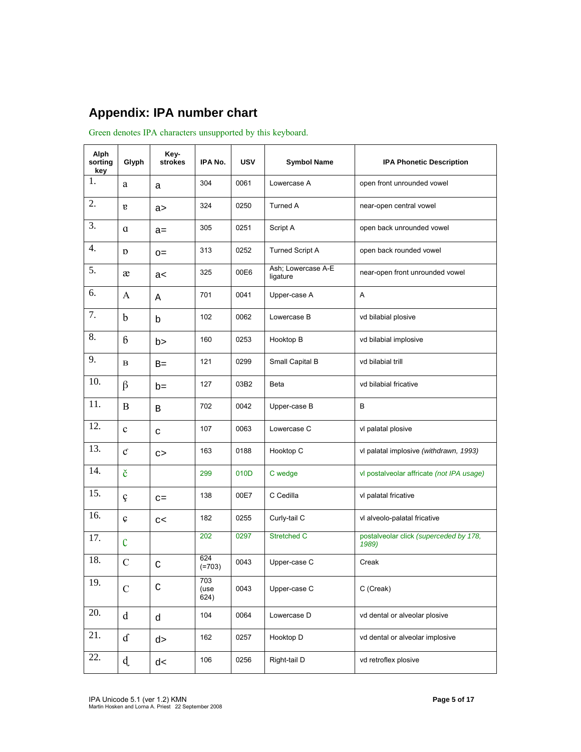## **Appendix: IPA number chart**

Green denotes IPA characters unsupported by this keyboard.

| Alph<br>sorting<br>key | Glyph           | Key-<br>strokes | IPA No.             | <b>USV</b> | <b>Symbol Name</b>             | <b>IPA Phonetic Description</b>                 |
|------------------------|-----------------|-----------------|---------------------|------------|--------------------------------|-------------------------------------------------|
| 1.                     | a               | a               | 304                 | 0061       | Lowercase A                    | open front unrounded vowel                      |
| 2.                     | $\mathbf{g}$    | a >             | 324                 | 0250       | Turned A                       | near-open central vowel                         |
| 3.                     | $\alpha$        | $a =$           | 305                 | 0251       | Script A                       | open back unrounded vowel                       |
| 4.                     | D               | $O =$           | 313                 | 0252       | <b>Turned Script A</b>         | open back rounded vowel                         |
| 5.                     | æ               | a<              | 325                 | 00E6       | Ash; Lowercase A-E<br>ligature | near-open front unrounded vowel                 |
| 6.                     | A               | Α               | 701                 | 0041       | Upper-case A                   | Α                                               |
| 7.                     | $\mathbf b$     | b               | 102                 | 0062       | Lowercase B                    | vd bilabial plosive                             |
| 8.                     | $6\overline{6}$ | b>              | 160                 | 0253       | Hooktop B                      | vd bilabial implosive                           |
| 9.                     | в               | $B=$            | 121                 | 0299       | Small Capital B                | vd bilabial trill                               |
| 10.                    | $\beta$         | $b=$            | 127                 | 03B2       | Beta                           | vd bilabial fricative                           |
| 11.                    | B               | B               | 702                 | 0042       | Upper-case B                   | B                                               |
| 12.                    | $\mathbf c$     | $\mathtt{C}$    | 107                 | 0063       | Lowercase C                    | vl palatal plosive                              |
| 13.                    | $\mathfrak{C}$  | C               | 163                 | 0188       | Hooktop C                      | vl palatal implosive (withdrawn, 1993)          |
| 14.                    | č               |                 | 299                 | 010D       | C wedge                        | vl postalveolar affricate (not IPA usage)       |
| 15.                    | ç               | $C =$           | 138                 | 00E7       | C Cedilla                      | vl palatal fricative                            |
| 16.                    | Ç               | C<              | 182                 | 0255       | Curly-tail C                   | vl alveolo-palatal fricative                    |
| 17.                    | $\mathcal{C}$   |                 | 202                 | 0297       | Stretched C                    | postalveolar click (superceded by 178,<br>1989) |
| 18.                    | $\mathcal{C}$   | C               | 624<br>$(=703)$     | 0043       | Upper-case C                   | Creak                                           |
| 19.                    | $\mathcal{C}$   | $\mathsf C$     | 703<br>(use<br>624) | 0043       | Upper-case C                   | C (Creak)                                       |
| 20.                    | $\mathbf d$     | d               | 104                 | 0064       | Lowercase D                    | vd dental or alveolar plosive                   |
| 21.                    | $\mathbf d$     | d >             | 162                 | 0257       | Hooktop D                      | vd dental or alveolar implosive                 |
| 22.                    | d               | d<              | 106                 | 0256       | Right-tail D                   | vd retroflex plosive                            |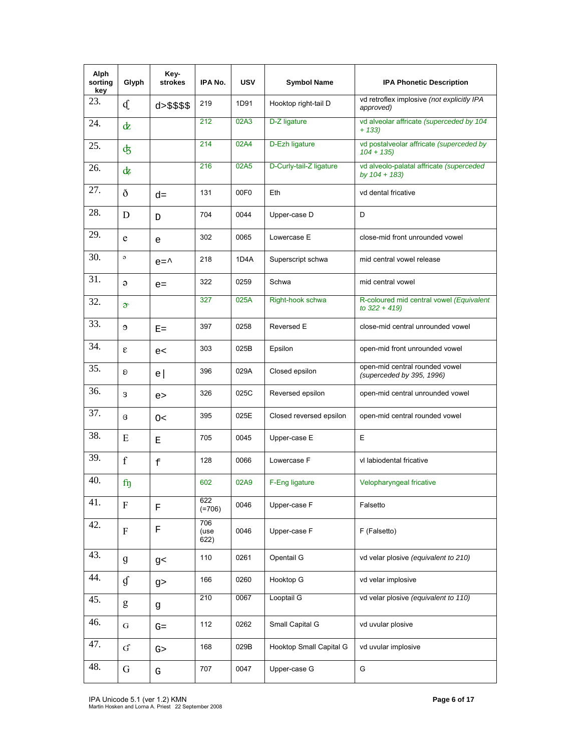| Alph<br>sorting<br>key | Glyph                  | Key-<br>strokes | IPA No.             | <b>USV</b> | <b>Symbol Name</b>      | <b>IPA Phonetic Description</b>                              |
|------------------------|------------------------|-----------------|---------------------|------------|-------------------------|--------------------------------------------------------------|
| 23.                    | d.                     | d > \$ \$ \$ \$ | 219                 | 1D91       | Hooktop right-tail D    | vd retroflex implosive (not explicitly IPA<br>approved)      |
| 24.                    | dΖ                     |                 | 212                 | 02A3       | D-Z ligature            | vd alveolar affricate (superceded by 104<br>$+ 133$          |
| 25.                    | ф                      |                 | 214                 | 02A4       | D-Ezh ligature          | vd postalveolar affricate (superceded by<br>$104 + 135$      |
| 26.                    | $\mathrm{d}z$          |                 | 216                 | 02A5       | D-Curly-tail-Z ligature | vd alveolo-palatal affricate (superceded<br>by $104 + 183$ ) |
| 27.                    | ð                      | $d =$           | 131                 | 00F0       | Eth                     | vd dental fricative                                          |
| 28.                    | D                      | D               | 704                 | 0044       | Upper-case D            | D                                                            |
| 29.                    | e                      | e               | 302                 | 0065       | Lowercase E             | close-mid front unrounded vowel                              |
| 30.                    | $\circ$                | $e = \uparrow$  | 218                 | 1D4A       | Superscript schwa       | mid central vowel release                                    |
| 31.                    | $\Theta$               | $e=$            | 322                 | 0259       | Schwa                   | mid central vowel                                            |
| 32.                    | $\mathfrak{D}^{\circ}$ |                 | 327                 | 025A       | Right-hook schwa        | R-coloured mid central vowel (Equivalent<br>to $322 + 419$   |
| 33.                    | Э                      | $E =$           | 397                 | 0258       | Reversed E              | close-mid central unrounded vowel                            |
| 34.                    | ε                      | e<              | 303                 | 025B       | Epsilon                 | open-mid front unrounded vowel                               |
| 35.                    | Ð                      | $\mathsf{e}$    | 396                 | 029A       | Closed epsilon          | open-mid central rounded vowel<br>(superceded by 395, 1996)  |
| 36.                    | 3                      | e               | 326                 | 025C       | Reversed epsilon        | open-mid central unrounded vowel                             |
| 37.                    | B                      | O<              | 395                 | 025E       | Closed reversed epsilon | open-mid central rounded vowel                               |
| 38.                    | E                      | Е               | 705                 | 0045       | Upper-case E            | E                                                            |
| 39.                    | $\mathbf f$            | $\mathbf f$     | 128                 | 0066       | Lowercase F             | vl labiodental fricative                                     |
| 40.                    | $f_{\eta}$             |                 | 602                 | 02A9       | F-Eng ligature          | Velopharyngeal fricative                                     |
| 41.                    | $\mathbf F$            | F               | 622<br>$(=706)$     | 0046       | Upper-case F            | Falsetto                                                     |
| 42.                    | $\mathbf F$            | $\mathbf F$     | 706<br>(use<br>622) | 0046       | Upper-case F            | F (Falsetto)                                                 |
| 43.                    | $\mathfrak g$          | g<              | 110                 | 0261       | Opentail G              | vd velar plosive (equivalent to 210)                         |
| 44.                    | $\mathfrak{g}$         | g               | 166                 | 0260       | Hooktop G               | vd velar implosive                                           |
| 45.                    | g                      | g               | 210                 | 0067       | Looptail G              | vd velar plosive (equivalent to 110)                         |
| 46.                    | G                      | $G=$            | 112                 | 0262       | Small Capital G         | vd uvular plosive                                            |
| 47.                    | ${\bf G}$              | G >             | 168                 | 029B       | Hooktop Small Capital G | vd uvular implosive                                          |
| 48.                    | $\mathbf G$            | G               | 707                 | 0047       | Upper-case G            | G                                                            |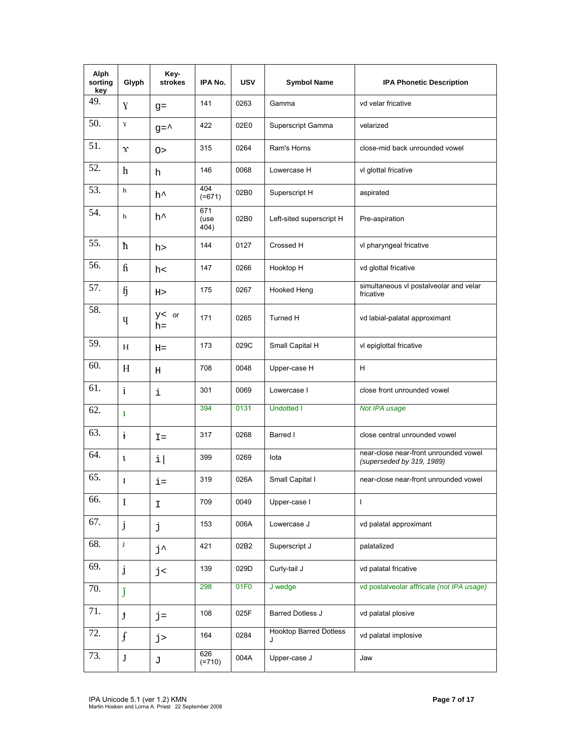| Alph<br>sorting<br>key | Glyph          | Key-<br>strokes | IPA No.             | <b>USV</b> | <b>Symbol Name</b>                 | <b>IPA Phonetic Description</b>                                    |
|------------------------|----------------|-----------------|---------------------|------------|------------------------------------|--------------------------------------------------------------------|
| 49.                    | Y              | $q =$           | 141                 | 0263       | Gamma                              | vd velar fricative                                                 |
| 50.                    | Y              | $g = \uparrow$  | 422                 | 02E0       | Superscript Gamma                  | velarized                                                          |
| 51.                    | $\gamma$       | O >             | 315                 | 0264       | Ram's Horns                        | close-mid back unrounded vowel                                     |
| 52.                    | $\mathbf h$    | h               | 146                 | 0068       | Lowercase H                        | vl glottal fricative                                               |
| 53.                    | $\mathbf h$    | h^              | 404<br>$(=671)$     | 02B0       | Superscript H                      | aspirated                                                          |
| 54.                    | $\mathbf h$    | h^              | 671<br>(use<br>404) | 02B0       | Left-sited superscript H           | Pre-aspiration                                                     |
| 55.                    | ħ              | h>              | 144                 | 0127       | Crossed H                          | vl pharyngeal fricative                                            |
| 56.                    | $\mathbf{h}$   | h<              | 147                 | 0266       | Hooktop H                          | vd glottal fricative                                               |
| 57.                    | $\mathfrak{h}$ | $_{\rm H>}$     | 175                 | 0267       | Hooked Heng                        | simultaneous vl postalveolar and velar<br>fricative                |
| 58.                    | Ų              | y < or<br>h=    | 171                 | 0265       | Turned H                           | vd labial-palatal approximant                                      |
| 59.                    | Н              | $H =$           | 173                 | 029C       | Small Capital H                    | vl epiglottal fricative                                            |
| 60.                    | H              | Н               | 708                 | 0048       | Upper-case H                       | H                                                                  |
| 61.                    | $\mathbf{i}$   | i               | 301                 | 0069       | Lowercase I                        | close front unrounded vowel                                        |
| 62.                    | $\mathbf{1}$   |                 | 394                 | 0131       | <b>Undotted I</b>                  | Not IPA usage                                                      |
| 63.                    | $\ddot{t}$     | $I =$           | 317                 | 0268       | Barred I                           | close central unrounded vowel                                      |
| 64.                    | $\mathbf{t}$   | i               | 399                 | 0269       | lota                               | near-close near-front unrounded vowel<br>(superseded by 319, 1989) |
| 65.                    | I              | i=              | 319                 | 026A       | Small Capital I                    | near-close near-front unrounded vowel                              |
| 66.                    | $\bf{I}$       | I.              | 709                 | 0049       | Upper-case I                       | $\mathsf{I}$                                                       |
| 67.                    | j              | j               | 153                 | 006A       | Lowercase J                        | vd palatal approximant                                             |
| 68.                    | j              | j^              | 421                 | 02B2       | Superscript J                      | palatalized                                                        |
| 69.                    | $\mathbf{j}$   | j<              | 139                 | 029D       | Curly-tail J                       | vd palatal fricative                                               |
| 70.                    | ľ              |                 | 298                 | 01F0       | J wedge                            | vd postalveolar affricate (not IPA usage)                          |
| 71.                    | $\mathbf{f}$   | $j =$           | 108                 | 025F       | Barred Dotless J                   | vd palatal plosive                                                 |
| 72.                    | $\mathbf{f}$   | $j$ >           | 164                 | 0284       | <b>Hooktop Barred Dotless</b><br>J | vd palatal implosive                                               |
| 73.                    | $\bf J$        | J               | 626<br>$(=710)$     | 004A       | Upper-case J                       | Jaw                                                                |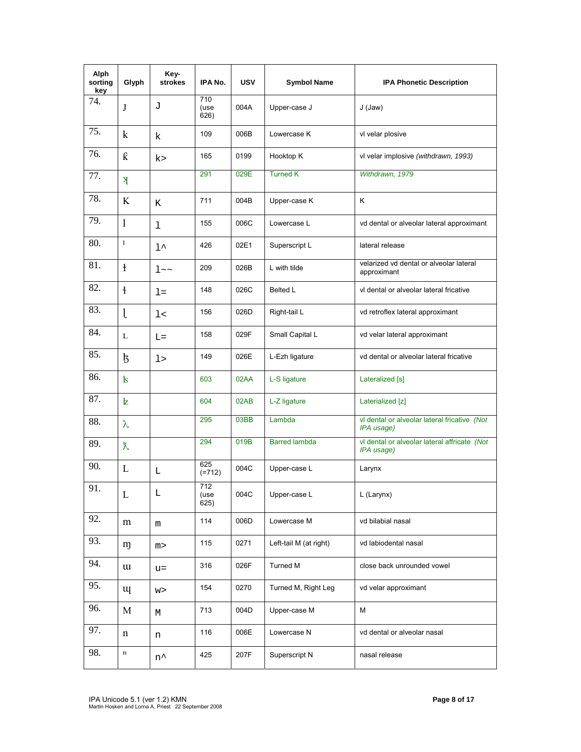| Alph<br>sorting<br>key | Glyph                           | Key-<br>strokes    | IPA No.             | <b>USV</b> | <b>Symbol Name</b>     | <b>IPA Phonetic Description</b>                            |
|------------------------|---------------------------------|--------------------|---------------------|------------|------------------------|------------------------------------------------------------|
| 74.                    | J                               | J                  | 710<br>(use<br>626) | 004A       | Upper-case J           | $J$ (Jaw)                                                  |
| 75.                    | $\mathbf k$                     | k                  | 109                 | 006B       | Lowercase K            | vl velar plosive                                           |
| 76.                    | $\boldsymbol{\hat{\mathrm{K}}}$ | k>                 | 165                 | 0199       | Hooktop K              | vl velar implosive (withdrawn, 1993)                       |
| 77.                    | $\mathbf{F}$                    |                    | 291                 | 029E       | <b>Turned K</b>        | Withdrawn, 1979                                            |
| 78.                    | K                               | Κ                  | 711                 | 004B       | Upper-case K           | Κ                                                          |
| 79.                    | $\mathbf{1}$                    | 1                  | 155                 | 006C       | Lowercase L            | vd dental or alveolar lateral approximant                  |
| 80.                    | $\mathbf{1}$                    | $1^{\wedge}$       | 426                 | 02E1       | Superscript L          | lateral release                                            |
| 81.                    | $\mathbf{f}$                    | $1 \sim \sim$      | 209                 | 026B       | L with tilde           | velarized vd dental or alveolar lateral<br>approximant     |
| 82.                    | $\frac{1}{2}$                   | $l =$              | 148                 | 026C       | Belted L               | vl dental or alveolar lateral fricative                    |
| 83.                    | l                               | 1<                 | 156                 | 026D       | Right-tail L           | vd retroflex lateral approximant                           |
| 84.                    | L                               | $L =$              | 158                 | 029F       | Small Capital L        | vd velar lateral approximant                               |
| 85.                    | ķ                               | l>                 | 149                 | 026E       | L-Ezh ligature         | vd dental or alveolar lateral fricative                    |
| 86.                    | $\mathbf{k}$                    |                    | 603                 | 02AA       | L-S ligature           | Lateralized [s]                                            |
| 87.                    | Þ.                              |                    | 604                 | 02AB       | L-Z ligature           | Laterialized [z]                                           |
| 88.                    | $\lambda$                       |                    | 295                 | 03BB       | Lambda                 | vl dental or alveolar lateral fricative (Not<br>IPA usage) |
| 89.                    | $\chi$                          |                    | 294                 | 019B       | <b>Barred lambda</b>   | vl dental or alveolar lateral affricate (Not<br>IPA usage) |
| 90.                    | L                               | L                  | 625<br>$(=712)$     | 004C       | Upper-case L           | Larynx                                                     |
| 91.                    | L                               | L                  | 712<br>(use<br>625) | 004C       | Upper-case L           | L (Larynx)                                                 |
| 92.                    | m                               | m                  | 114                 | 006D       | Lowercase M            | vd bilabial nasal                                          |
| 93.                    | m                               | m>                 | 115                 | 0271       | Left-tail M (at right) | vd labiodental nasal                                       |
| 94.                    | $\mathbf{u}$                    | $u =$              | 316                 | 026F       | Turned M               | close back unrounded vowel                                 |
| 95.                    | щ                               | W >                | 154                 | 0270       | Turned M, Right Leg    | vd velar approximant                                       |
| 96.                    | $\mathbf M$                     | М                  | 713                 | 004D       | Upper-case M           | M                                                          |
| 97.                    | n                               | n                  | 116                 | 006E       | Lowercase N            | vd dental or alveolar nasal                                |
| 98.                    | $\mathbf n$                     | $\mathtt{n}^\star$ | 425                 | 207F       | Superscript N          | nasal release                                              |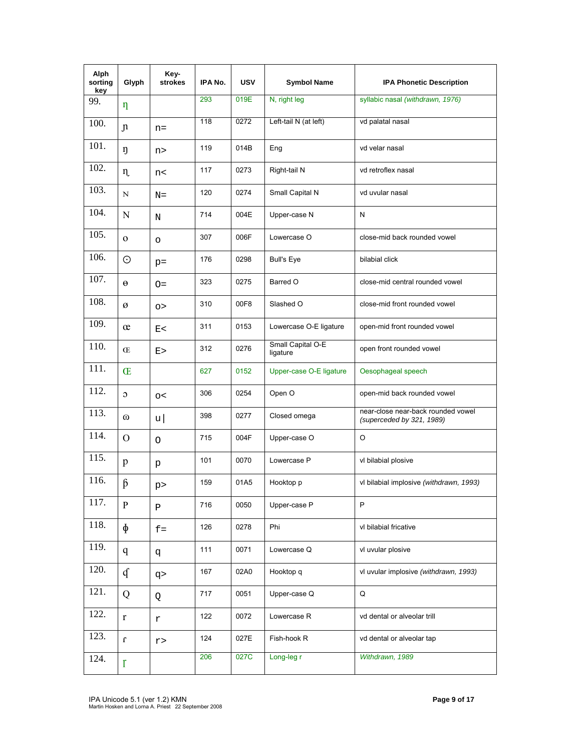| Alph<br>sorting<br>key | Glyph          | Key-<br>strokes | IPA No. | <b>USV</b> | <b>Symbol Name</b>            | <b>IPA Phonetic Description</b>                                 |
|------------------------|----------------|-----------------|---------|------------|-------------------------------|-----------------------------------------------------------------|
| 99.                    | η              |                 | 293     | 019E       | N, right leg                  | syllabic nasal (withdrawn, 1976)                                |
| 100.                   | n              | $n =$           | 118     | 0272       | Left-tail N (at left)         | vd palatal nasal                                                |
| 101.                   | ŋ              | n>              | 119     | 014B       | Eng                           | vd velar nasal                                                  |
| 102.                   | $\eta$         | n<              | 117     | 0273       | Right-tail N                  | vd retroflex nasal                                              |
| 103.                   | N              | $N =$           | 120     | 0274       | Small Capital N               | vd uvular nasal                                                 |
| 104.                   | N              | N               | 714     | 004E       | Upper-case N                  | N                                                               |
| 105.                   | $\Omega$       | O               | 307     | 006F       | Lowercase O                   | close-mid back rounded vowel                                    |
| 106.                   | $\odot$        | $p =$           | 176     | 0298       | <b>Bull's Eye</b>             | bilabial click                                                  |
| 107.                   | $\Theta$       | $O =$           | 323     | 0275       | Barred O                      | close-mid central rounded vowel                                 |
| 108.                   | ø              | $\circ$         | 310     | 00F8       | Slashed O                     | close-mid front rounded vowel                                   |
| 109.                   | œ              | E<              | 311     | 0153       | Lowercase O-E ligature        | open-mid front rounded vowel                                    |
| 110.                   | Œ              | E >             | 312     | 0276       | Small Capital O-E<br>ligature | open front rounded vowel                                        |
| 111.                   | Œ              |                 | 627     | 0152       | Upper-case O-E ligature       | Oesophageal speech                                              |
| 112.                   | $\circ$        | $\circ$         | 306     | 0254       | Open O                        | open-mid back rounded vowel                                     |
| 113.                   | $^\omega$      | u               | 398     | 0277       | Closed omega                  | near-close near-back rounded vowel<br>(superceded by 321, 1989) |
| 114.                   | $\Omega$       | O               | 715     | 004F       | Upper-case O                  | O                                                               |
| 115.                   | p              | р               | 101     | 0070       | Lowercase P                   | vl bilabial plosive                                             |
| 116.                   | $\beta$        | p               | 159     | 01A5       | Hooktop p                     | vl bilabial implosive (withdrawn, 1993)                         |
| 117.                   | P              | $\, {\bf P}$    | 716     | 0050       | Upper-case P                  | P                                                               |
| 118.                   | $\Phi$         | $f =$           | 126     | 0278       | Phi                           | vl bilabial fricative                                           |
| 119.                   | $\mathbf q$    | đ               | 111     | 0071       | Lowercase Q                   | vl uvular plosive                                               |
| 120.                   | $\mathfrak{q}$ | q               | 167     | 02A0       | Hooktop q                     | vl uvular implosive (withdrawn, 1993)                           |
| 121.                   | Q              | Q               | 717     | 0051       | Upper-case Q                  | Q                                                               |
| 122.                   | $\bf r$        | r               | 122     | 0072       | Lowercase R                   | vd dental or alveolar trill                                     |
| 123.                   | $\bf{r}$       | r>              | 124     | 027E       | Fish-hook R                   | vd dental or alveolar tap                                       |
| 124.                   | $\mathbf{r}$   |                 | 206     | 027C       | Long-leg r                    | Withdrawn, 1989                                                 |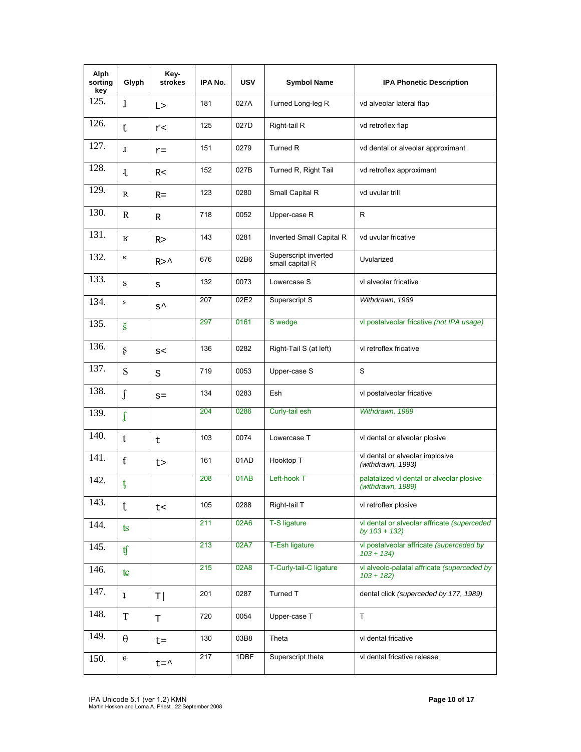| Alph<br>sorting<br>key | Glyph                   | Key-<br>strokes | IPA No. | <b>USV</b> | <b>Symbol Name</b>                      | <b>IPA Phonetic Description</b>                                 |
|------------------------|-------------------------|-----------------|---------|------------|-----------------------------------------|-----------------------------------------------------------------|
| 125.                   | $\mathbf{1}$            | L>              | 181     | 027A       | Turned Long-leg R                       | vd alveolar lateral flap                                        |
| 126.                   | $\mathfrak{r}$          | r<              | 125     | 027D       | Right-tail R                            | vd retroflex flap                                               |
| 127.                   | $\mathbf{I}$            | $r =$           | 151     | 0279       | Turned R                                | vd dental or alveolar approximant                               |
| 128.                   | $\mathbf{J}$            | R<              | 152     | 027B       | Turned R, Right Tail                    | vd retroflex approximant                                        |
| 129.                   | R                       | $R =$           | 123     | 0280       | Small Capital R                         | vd uvular trill                                                 |
| 130.                   | R                       | R               | 718     | 0052       | Upper-case R                            | R                                                               |
| 131.                   | К                       | R >             | 143     | 0281       | Inverted Small Capital R                | vd uvular fricative                                             |
| 132.                   | $\mathbf R$             | $R>^{\wedge}$   | 676     | 02B6       | Superscript inverted<br>small capital R | Uvularized                                                      |
| 133.                   | S                       | S               | 132     | 0073       | Lowercase S                             | vl alveolar fricative                                           |
| 134.                   | $\bf S$                 | $s^{\lambda}$   | 207     | 02E2       | Superscript S                           | Withdrawn, 1989                                                 |
| 135.                   | $\check{\mathbf{s}}$    |                 | 297     | 0161       | S wedge                                 | vl postalveolar fricative (not IPA usage)                       |
| 136.                   | ş                       | S<              | 136     | 0282       | Right-Tail S (at left)                  | vl retroflex fricative                                          |
| 137.                   | S                       | S               | 719     | 0053       | Upper-case S                            | S                                                               |
| 138.                   | $\int$                  | $S =$           | 134     | 0283       | Esh                                     | vl postalveolar fricative                                       |
| 139.                   | $\int$                  |                 | 204     | 0286       | Curly-tail esh                          | Withdrawn, 1989                                                 |
| 140.                   | t                       | t               | 103     | 0074       | Lowercase T                             | vl dental or alveolar plosive                                   |
| 141.                   | f                       | t>              | 161     | 01AD       | Hooktop T                               | vl dental or alveolar implosive<br>(withdrawn, 1993)            |
| 142.                   | ţ                       |                 | 208     | 01AB       | Left-hook T                             | palatalized vl dental or alveolar plosive<br>(withdrawn, 1989)  |
| 143.                   | t                       | t<              | 105     | 0288       | Right-tail T                            | vl retroflex plosive                                            |
| 144.                   | $t\mathbf{s}$           |                 | 211     | 02A6       | T-S ligature                            | vl dental or alveolar affricate (superceded<br>by $103 + 132$ ) |
| 145.                   | tf                      |                 | 213     | 02A7       | T-Esh ligature                          | vl postalveolar affricate (superceded by<br>$103 + 134$         |
| 146.                   | $t \mathfrak{c}$        |                 | 215     | 02A8       | T-Curly-tail-C ligature                 | vl alveolo-palatal affricate (superceded by<br>$103 + 182$      |
| 147.                   | $\overline{\mathbf{1}}$ | T               | 201     | 0287       | Turned T                                | dental click (superceded by 177, 1989)                          |
| 148.                   | $\rm T$                 | T               | 720     | 0054       | Upper-case T                            | $\mathsf T$                                                     |
| 149.                   | $\theta$                | $t =$           | 130     | 03B8       | Theta                                   | vl dental fricative                                             |
| 150.                   | $\Theta$                | $t = \uparrow$  | 217     | 1DBF       | Superscript theta                       | vl dental fricative release                                     |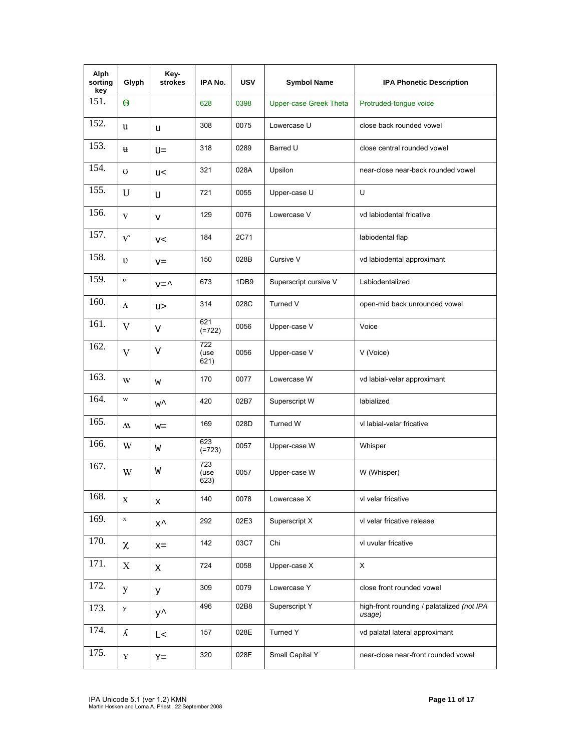| Alph<br>sorting<br>key | Glyph        | Key-<br>strokes | IPA No.                          | <b>USV</b> | <b>Symbol Name</b>            | <b>IPA Phonetic Description</b>                      |
|------------------------|--------------|-----------------|----------------------------------|------------|-------------------------------|------------------------------------------------------|
| 151.                   | $\Theta$     |                 | 628                              | 0398       | <b>Upper-case Greek Theta</b> | Protruded-tongue voice                               |
| 152.                   | u            | u               | 308                              | 0075       | Lowercase U                   | close back rounded vowel                             |
| 153.                   | u            | $U =$           | 318                              | 0289       | Barred U                      | close central rounded vowel                          |
| 154.                   | U            | u<              | 321                              | 028A       | Upsilon                       | near-close near-back rounded vowel                   |
| 155.                   | U            | U               | 721                              | 0055       | Upper-case U                  | U                                                    |
| 156.                   | V            | V               | 129                              | 0076       | Lowercase V                   | vd labiodental fricative                             |
| 157.                   | $\mathbf{V}$ | V<              | 184                              | 2C71       |                               | labiodental flap                                     |
| 158.                   | $\upsilon$   | $V =$           | 150                              | 028B       | Cursive V                     | vd labiodental approximant                           |
| 159.                   | $\upsilon$   | $v = \uparrow$  | 673                              | 1DB9       | Superscript cursive V         | Labiodentalized                                      |
| 160.                   | $\Lambda$    | u>              | 314                              | 028C       | Turned V                      | open-mid back unrounded vowel                        |
| 161.                   | V            | V               | 621<br>$(=722)$                  | 0056       | Upper-case V                  | Voice                                                |
| 162.                   | V            | V               | 722<br>(use<br>621)              | 0056       | Upper-case V                  | V (Voice)                                            |
| 163.                   | W            | W               | 170                              | 0077       | Lowercase W                   | vd labial-velar approximant                          |
| 164.                   | $\bf w$      | w^              | 420                              | 02B7       | Superscript W                 | labialized                                           |
| 165.                   | $\mathbf{M}$ | $w =$           | 169                              | 028D       | <b>Turned W</b>               | vl labial-velar fricative                            |
| 166.                   | W            | W               | 623<br>$(=723)$                  | 0057       | Upper-case W                  | Whisper                                              |
| 167.                   | W            | W               | $\overline{723}$<br>(use<br>623) | 0057       | Upper-case W                  | W (Whisper)                                          |
| 168.                   | X            | X               | 140                              | 0078       | Lowercase X                   | vl velar fricative                                   |
| 169.                   | $\mathbf x$  | $x^{\lambda}$   | 292                              | 02E3       | Superscript X                 | vl velar fricative release                           |
| 170.                   | $\chi$       | $x =$           | 142                              | 03C7       | Chi                           | vl uvular fricative                                  |
| 171.                   | X            | Χ               | 724                              | 0058       | Upper-case X                  | $\pmb{\times}$                                       |
| 172.                   | y            | У               | 309                              | 0079       | Lowercase Y                   | close front rounded vowel                            |
| 173.                   | у            | $y^{\lambda}$   | 496                              | 02B8       | Superscript Y                 | high-front rounding / palatalized (not IPA<br>usage) |
| 174.                   | $\Lambda$    | L<              | 157                              | 028E       | Turned Y                      | vd palatal lateral approximant                       |
| 175.                   | $\mathbf Y$  | $Y =$           | 320                              | 028F       | Small Capital Y               | near-close near-front rounded vowel                  |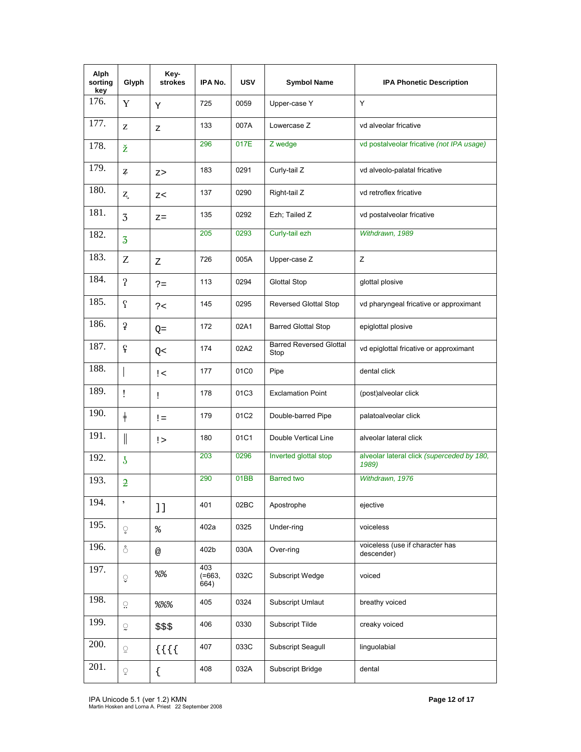| <b>Alph</b><br>sorting<br>key | Glyph                                   | Key-<br>strokes | IPA No.                     | USV  | <b>Symbol Name</b>                     | <b>IPA Phonetic Description</b>                     |
|-------------------------------|-----------------------------------------|-----------------|-----------------------------|------|----------------------------------------|-----------------------------------------------------|
| 176.                          | Y                                       | Y               | 725                         | 0059 | Upper-case Y                           | Y                                                   |
| 177.                          | Z                                       | Ζ               | 133                         | 007A | Lowercase Z                            | vd alveolar fricative                               |
| 178.                          | ž                                       |                 | 296                         | 017E | Z wedge                                | vd postalveolar fricative (not IPA usage)           |
| 179.                          | $\mathbf{Z}$                            | Z >             | 183                         | 0291 | Curly-tail Z                           | vd alveolo-palatal fricative                        |
| 180.                          | $Z_{\iota}$                             | Z<              | 137                         | 0290 | Right-tail Z                           | vd retroflex fricative                              |
| 181.                          | 3                                       | $Z =$           | 135                         | 0292 | Ezh: Tailed Z                          | vd postalveolar fricative                           |
| 182.                          | $\overline{3}$                          |                 | 205                         | 0293 | Curly-tail ezh                         | Withdrawn, 1989                                     |
| 183.                          | Z                                       | Ζ               | 726                         | 005A | Upper-case Z                           | Ζ                                                   |
| 184.                          | $\mathbf{r}$                            | $? =$           | 113                         | 0294 | <b>Glottal Stop</b>                    | glottal plosive                                     |
| 185.                          | $\mathcal{C}$                           | ? <             | 145                         | 0295 | <b>Reversed Glottal Stop</b>           | vd pharyngeal fricative or approximant              |
| 186.                          | $\overline{\mathbf{f}}$                 | $Q =$           | 172                         | 02A1 | <b>Barred Glottal Stop</b>             | epiglottal plosive                                  |
| 187.                          | $\mathbf{f}$                            | Q<              | 174                         | 02A2 | <b>Barred Reversed Glottal</b><br>Stop | vd epiglottal fricative or approximant              |
| 188.                          |                                         | ! <             | 177                         | 01C0 | Pipe                                   | dental click                                        |
| 189.                          | Ţ                                       | Ţ               | 178                         | 01C3 | <b>Exclamation Point</b>               | (post)alveolar click                                |
| 190.                          | $\ddagger$                              | $!=$            | 179                         | 01C2 | Double-barred Pipe                     | palatoalveolar click                                |
| 191.                          | $\mathcal{L}^{\text{max}}_{\text{max}}$ | !>              | 180                         | 01C1 | Double Vertical Line                   | alveolar lateral click                              |
| 192.                          | $\overline{5}$                          |                 | 203                         | 0296 | Inverted glottal stop                  | alveolar lateral click (superceded by 180,<br>1989) |
| 193.                          | $\overline{2}$                          |                 | 290                         | 01BB | <b>Barred two</b>                      | Withdrawn, 1976                                     |
| 194.                          | $\overline{\phantom{a}}$                | 11              | 401                         | 02BC | Apostrophe                             | ejective                                            |
| 195.                          | ृ                                       | ిక              | 402a                        | 0325 | Under-ring                             | voiceless                                           |
| 196.                          | ំ                                       | @               | 402b                        | 030A | Over-ring                              | voiceless (use if character has<br>descender)       |
| 197.                          | ु                                       | နွန့            | 403<br>$( = 663, )$<br>664) | 032C | Subscript Wedge                        | voiced                                              |
| 198.                          | ្                                       | 888             | 405                         | 0324 | <b>Subscript Umlaut</b>                | breathy voiced                                      |
| 199.                          | ្ទ                                      | $$$ \$\$        | 406                         | 0330 | Subscript Tilde                        | creaky voiced                                       |
| 200.                          | ្ត                                      | $\{\{\{\}\}\}$  | 407                         | 033C | Subscript Seagull                      | linguolabial                                        |
| 201.                          | ្                                       | $\{$            | 408                         | 032A | Subscript Bridge                       | dental                                              |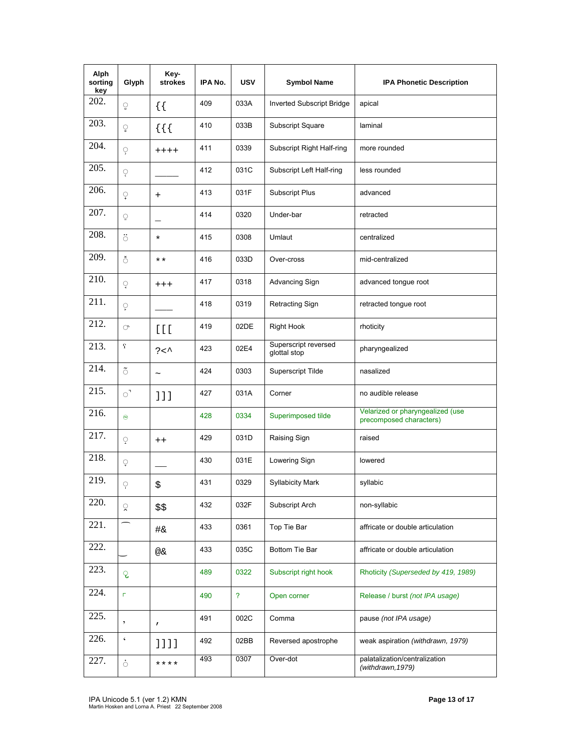| Alph<br>sorting<br>key | Glyph           | Key-<br>strokes | IPA No. | <b>USV</b>     | <b>Symbol Name</b>                   | <b>IPA Phonetic Description</b>                             |
|------------------------|-----------------|-----------------|---------|----------------|--------------------------------------|-------------------------------------------------------------|
| 202.                   | ਼               | $\{ \}$         | 409     | 033A           | <b>Inverted Subscript Bridge</b>     | apical                                                      |
| 203.                   | ុ               | $\{ \}$         | 410     | 033B           | Subscript Square                     | laminal                                                     |
| 204.                   | ç               | $+++++$         | 411     | 0339           | Subscript Right Half-ring            | more rounded                                                |
| 205.                   | ę               |                 | 412     | 031C           | Subscript Left Half-ring             | less rounded                                                |
| 206.                   | ្               | $^{+}$          | 413     | 031F           | <b>Subscript Plus</b>                | advanced                                                    |
| 207.                   | ृ               |                 | 414     | 0320           | Under-bar                            | retracted                                                   |
| 208.                   | ö               | $\star$         | 415     | 0308           | Umlaut                               | centralized                                                 |
| 209.                   | Ŏ               | * *             | 416     | 033D           | Over-cross                           | mid-centralized                                             |
| 210.                   | ្               | $+++$           | 417     | 0318           | Advancing Sign                       | advanced tongue root                                        |
| 211.                   | ុ               |                 | 418     | 0319           | Retracting Sign                      | retracted tongue root                                       |
| 212.                   | O.              | [1]             | 419     | 02DE           | <b>Right Hook</b>                    | rhoticity                                                   |
| 213.                   | S.              | ? <             | 423     | 02E4           | Superscript reversed<br>glottal stop | pharyngealized                                              |
| 214.                   | $\tilde{\circ}$ | $\thicksim$     | 424     | 0303           | Superscript Tilde                    | nasalized                                                   |
| 215.                   | $\circ$         | 111             | 427     | 031A           | Corner                               | no audible release                                          |
| 216.                   | e               |                 | 428     | 0334           | Superimposed tilde                   | Velarized or pharyngealized (use<br>precomposed characters) |
| 217.                   | Q               | $++$            | 429     | 031D           | Raising Sign                         | raised                                                      |
| 218.                   | Ç               |                 | 430     | 031E           | Lowering Sign                        | lowered                                                     |
| 219.                   | Ÿ               | \$              | 431     | 0329           | <b>Syllabicity Mark</b>              | syllabic                                                    |
| 220.                   | ्र              | \$\$            | 432     | 032F           | Subscript Arch                       | non-syllabic                                                |
| 221.                   |                 | #&              | 433     | 0361           | Top Tie Bar                          | affricate or double articulation                            |
| 222.                   |                 | @&              | 433     | 035C           | Bottom Tie Bar                       | affricate or double articulation                            |
| 223.                   | ृ               |                 | 489     | 0322           | Subscript right hook                 | Rhoticity (Superseded by 419, 1989)                         |
| 224.                   | п               |                 | 490     | $\overline{?}$ | Open corner                          | Release / burst (not IPA usage)                             |
| 225.                   | ,               | $\mathbf{r}$    | 491     | 002C           | Comma                                | pause (not IPA usage)                                       |
| 226.                   | $\pmb{\zeta}$   | 1111            | 492     | 02BB           | Reversed apostrophe                  | weak aspiration (withdrawn, 1979)                           |
| 227.                   | ó               | ****            | 493     | 0307           | Over-dot                             | palatalization/centralization<br>(withdrawn, 1979)          |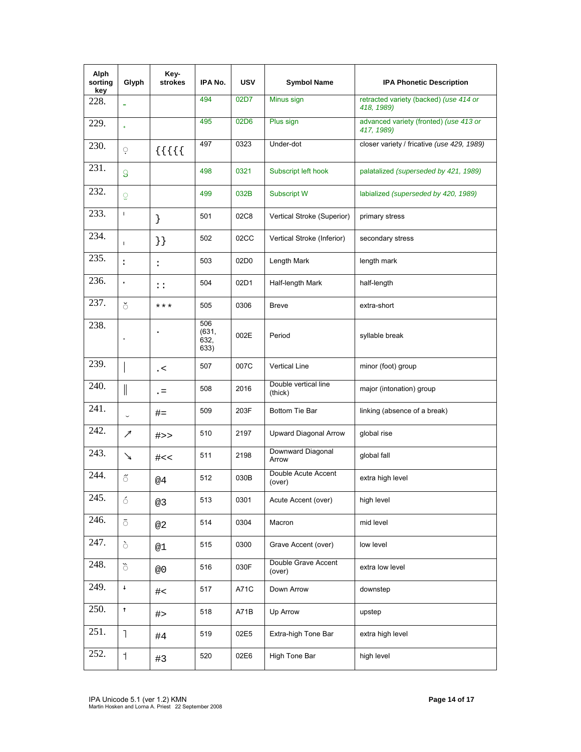| Alph<br>sorting<br>key | Glyph                    | Key-<br><b>strokes</b> | IPA No.                      | <b>USV</b> | <b>Symbol Name</b>              | <b>IPA Phonetic Description</b>                      |
|------------------------|--------------------------|------------------------|------------------------------|------------|---------------------------------|------------------------------------------------------|
| 228.                   |                          |                        | 494                          | 02D7       | Minus sign                      | retracted variety (backed) (use 414 or<br>418, 1989) |
| 229.                   | $\ddot{}$                |                        | 495                          | 02D6       | Plus sign                       | advanced variety (fronted) (use 413 or<br>417, 1989) |
| 230.                   | Ģ                        | $\{\{\{\}\}\}$         | 497                          | 0323       | Under-dot                       | closer variety / fricative (use 429, 1989)           |
| 231.                   | S                        |                        | 498                          | 0321       | Subscript left hook             | palatalized (superseded by 421, 1989)                |
| 232.                   | g                        |                        | 499                          | 032B       | Subscript W                     | labialized (superseded by 420, 1989)                 |
| 233.                   | $\mathsf I$              | }                      | 501                          | 02C8       | Vertical Stroke (Superior)      | primary stress                                       |
| 234.                   | $\mathbf{I}$             | $\}$                   | 502                          | 02CC       | Vertical Stroke (Inferior)      | secondary stress                                     |
| 235.                   | ĭ                        | $\ddot{\cdot}$         | 503                          | 02D0       | Length Mark                     | length mark                                          |
| 236.                   | $\blacksquare$           | $\vdots$               | 504                          | 02D1       | Half-length Mark                | half-length                                          |
| 237.                   | ័                        | $***$                  | 505                          | 0306       | <b>Breve</b>                    | extra-short                                          |
| 238.                   | $\ddot{\phantom{0}}$     |                        | 506<br>(631,<br>632,<br>633) | 002E       | Period                          | syllable break                                       |
| 239.                   |                          | $\alpha$ .             | 507                          | 007C       | <b>Vertical Line</b>            | minor (foot) group                                   |
| 240.                   |                          | $=$                    | 508                          | 2016       | Double vertical line<br>(thick) | major (intonation) group                             |
| 241.                   | $\overline{\phantom{0}}$ | $# =$                  | 509                          | 203F       | Bottom Tie Bar                  | linking (absence of a break)                         |
| 242.                   | ↗                        | #>>                    | 510                          | 2197       | <b>Upward Diagonal Arrow</b>    | global rise                                          |
| 243.                   | ブ                        | #<<                    | 511                          | 2198       | Downward Diagonal<br>Arrow      | qlobal fall                                          |
| 244.                   | $\ddot{\circ}$           | @4                     | 512                          | 030B       | Double Acute Accent<br>(over)   | extra high level                                     |
| 245.                   | 6                        | @3                     | 513                          | 0301       | Acute Accent (over)             | high level                                           |
| 246.                   | $\bar{\circ}$            | @2                     | 514                          | 0304       | Macron                          | mid level                                            |
| 247.                   | $\delta$                 | @1                     | 515                          | 0300       | Grave Accent (over)             | low level                                            |
| 248.                   | $\delta$                 | @0                     | 516                          | 030F       | Double Grave Accent<br>(over)   | extra low level                                      |
| 249.                   | $\downarrow$             | #                      | 517                          | A71C       | Down Arrow                      | downstep                                             |
| 250.                   | $^\dagger$               | #                      | 518                          | A71B       | Up Arrow                        | upstep                                               |
| 251.                   | $\mathbb{I}$             | #4                     | 519                          | 02E5       | Extra-high Tone Bar             | extra high level                                     |
| 252.                   | $\mathbf{1}$             | #3                     | 520                          | 02E6       | High Tone Bar                   | high level                                           |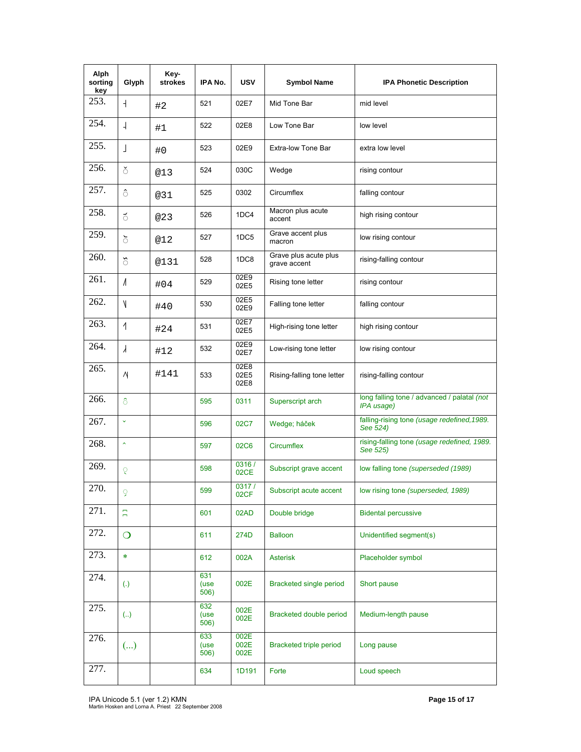| Alph<br>sorting<br>key | Glyph               | Key-<br><b>strokes</b> | IPA No.             | USV                  | <b>Symbol Name</b>                    | <b>IPA Phonetic Description</b>                           |
|------------------------|---------------------|------------------------|---------------------|----------------------|---------------------------------------|-----------------------------------------------------------|
| 253.                   | $\overline{+}$      | #2                     | 521                 | 02E7                 | Mid Tone Bar                          | mid level                                                 |
| 254.                   | $\overline{a}$      | #1                     | 522                 | 02E8                 | Low Tone Bar                          | low level                                                 |
| 255.                   | ┚                   | #0                     | 523                 | 02E9                 | Extra-low Tone Bar                    | extra low level                                           |
| 256.                   | ŏ                   | @13                    | 524                 | 030C                 | Wedge                                 | rising contour                                            |
| 257.                   | $\hat{\circ}$       | @31                    | 525                 | 0302                 | Circumflex                            | falling contour                                           |
| 258.                   | $\breve{\circ}$     | @23                    | 526                 | 1DC4                 | Macron plus acute<br>accent           | high rising contour                                       |
| 259.                   | $\delta$            | @12                    | 527                 | 1DC5                 | Grave accent plus<br>macron           | low rising contour                                        |
| 260.                   | $\delta$            | @131                   | 528                 | 1DC8                 | Grave plus acute plus<br>grave accent | rising-falling contour                                    |
| 261.                   | $\Lambda$           | #04                    | 529                 | 02E9<br>02E5         | Rising tone letter                    | rising contour                                            |
| 262.                   | $\mathsf{N}$        | #40                    | 530                 | 02E5<br>02E9         | Falling tone letter                   | falling contour                                           |
| 263.                   | $\overline{1}$      | #24                    | 531                 | 02E7<br>02E5         | High-rising tone letter               | high rising contour                                       |
| 264.                   | $\lambda$           | #12                    | 532                 | 02E9<br>02E7         | Low-rising tone letter                | low rising contour                                        |
| 265.                   | N,                  | #141                   | 533                 | 02E8<br>02E5<br>02E8 | Rising-falling tone letter            | rising-falling contour                                    |
| 266.                   | $\delta$            |                        | 595                 | 0311                 | Superscript arch                      | long falling tone / advanced / palatal (not<br>IPA usage) |
| 267.                   | $\ddot{\mathbf{v}}$ |                        | 596                 | 02C7                 | Wedge; háček                          | falling-rising tone (usage redefined, 1989.<br>See 524)   |
| 268.                   | $\hat{\phantom{a}}$ |                        | 597                 | 02C6                 | Circumflex                            | rising-falling tone (usage redefined, 1989.<br>See 525)   |
| 269.                   | Q                   |                        | 598                 | 0316/<br>02CE        | Subscript grave accent                | low falling tone (superseded (1989)                       |
| 270.                   | 9                   |                        | 599                 | 0317/<br>02CF        | Subscript acute accent                | low rising tone (superseded, 1989)                        |
| 271.                   | Ξ                   |                        | 601                 | 02AD                 | Double bridge                         | <b>Bidental percussive</b>                                |
| 272.                   | $\overline{O}$      |                        | 611                 | 274D                 | <b>Balloon</b>                        | Unidentified segment(s)                                   |
| 273.                   | $\ast$              |                        | 612                 | 002A                 | <b>Asterisk</b>                       | Placeholder symbol                                        |
| 274.                   | $\left( .\right)$   |                        | 631<br>(use<br>506) | 002E                 | Bracketed single period               | Short pause                                               |
| 275.                   | (.)                 |                        | 632<br>(use<br>506) | 002E<br>002E         | Bracketed double period               | Medium-length pause                                       |
| 276.                   | ()                  |                        | 633<br>(use<br>506) | 002E<br>002E<br>002E | Bracketed triple period               | Long pause                                                |
| 277.                   |                     |                        | 634                 | 1D191                | Forte                                 | Loud speech                                               |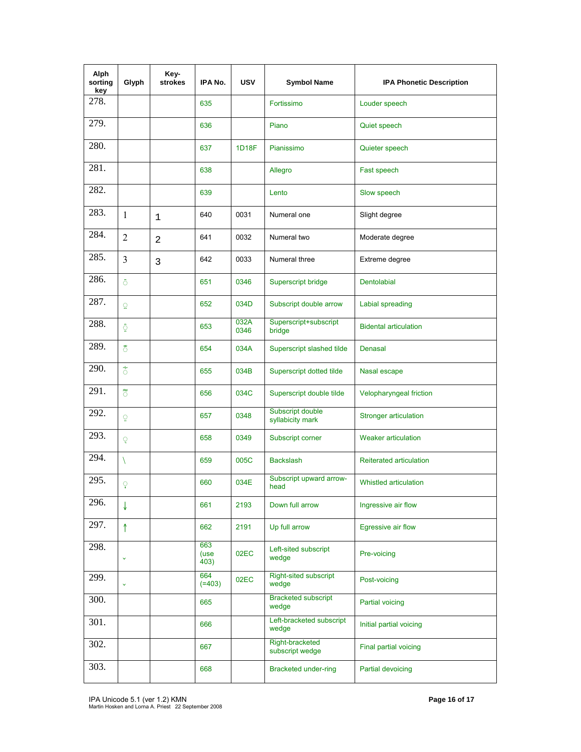| Alph<br>sorting<br>key | Glyph            | Key-<br>strokes | IPA No.             | <b>USV</b>   | <b>Symbol Name</b>                    | <b>IPA Phonetic Description</b> |
|------------------------|------------------|-----------------|---------------------|--------------|---------------------------------------|---------------------------------|
| 278.                   |                  |                 | 635                 |              | Fortissimo                            | Louder speech                   |
| 279.                   |                  |                 | 636                 |              | Piano                                 | Quiet speech                    |
| 280.                   |                  |                 | 637                 | 1D18F        | Pianissimo                            | Quieter speech                  |
| 281.                   |                  |                 | 638                 |              | Allegro                               | Fast speech                     |
| 282.                   |                  |                 | 639                 |              | Lento                                 | Slow speech                     |
| 283.                   | 1                | $\mathbf{1}$    | 640                 | 0031         | Numeral one                           | Slight degree                   |
| 284.                   | $\overline{2}$   | 2               | 641                 | 0032         | Numeral two                           | Moderate degree                 |
| 285.                   | 3                | 3               | 642                 | 0033         | Numeral three                         | Extreme degree                  |
| 286.                   | ô                |                 | 651                 | 0346         | Superscript bridge                    | <b>Dentolabial</b>              |
| 287.                   | Q                |                 | 652                 | 034D         | Subscript double arrow                | Labial spreading                |
| 288.                   | ្ញុំ             |                 | 653                 | 032A<br>0346 | Superscript+subscript<br>bridge       | <b>Bidental articulation</b>    |
| 289.                   | ិ៍               |                 | 654                 | 034A         | Superscript slashed tilde             | Denasal                         |
| 290.                   | $\tilde{\delta}$ |                 | 655                 | 034B         | Superscript dotted tilde              | Nasal escape                    |
| 291.                   | ិ៍               |                 | 656                 | 034C         | Superscript double tilde              | Velopharyngeal friction         |
| 292.                   | ុ                |                 | 657                 | 0348         | Subscript double<br>syllabicity mark  | <b>Stronger articulation</b>    |
| 293.                   | Q                |                 | 658                 | 0349         | Subscript corner                      | <b>Weaker articulation</b>      |
| 294.                   | X                |                 | 659                 | 005C         | <b>Backslash</b>                      | Reiterated articulation         |
| 295.                   | ុ                |                 | 660                 | 034E         | Subscript upward arrow-<br>head       | Whistled articulation           |
| 296.                   | ↓                |                 | 661                 | 2193         | Down full arrow                       | Ingressive air flow             |
| 297.                   | ↑                |                 | 662                 | 2191         | Up full arrow                         | Egressive air flow              |
| 298.                   | Ÿ                |                 | 663<br>(use<br>403) | 02EC         | Left-sited subscript<br>wedge         | Pre-voicing                     |
| 299.                   | $\ddotmark$      |                 | 664<br>$(=403)$     | 02EC         | <b>Right-sited subscript</b><br>wedge | Post-voicing                    |
| 300.                   |                  |                 | 665                 |              | <b>Bracketed subscript</b><br>wedge   | Partial voicing                 |
| 301.                   |                  |                 | 666                 |              | Left-bracketed subscript<br>wedge     | Initial partial voicing         |
| 302.                   |                  |                 | 667                 |              | Right-bracketed<br>subscript wedge    | Final partial voicing           |
| 303.                   |                  |                 | 668                 |              | <b>Bracketed under-ring</b>           | Partial devoicing               |